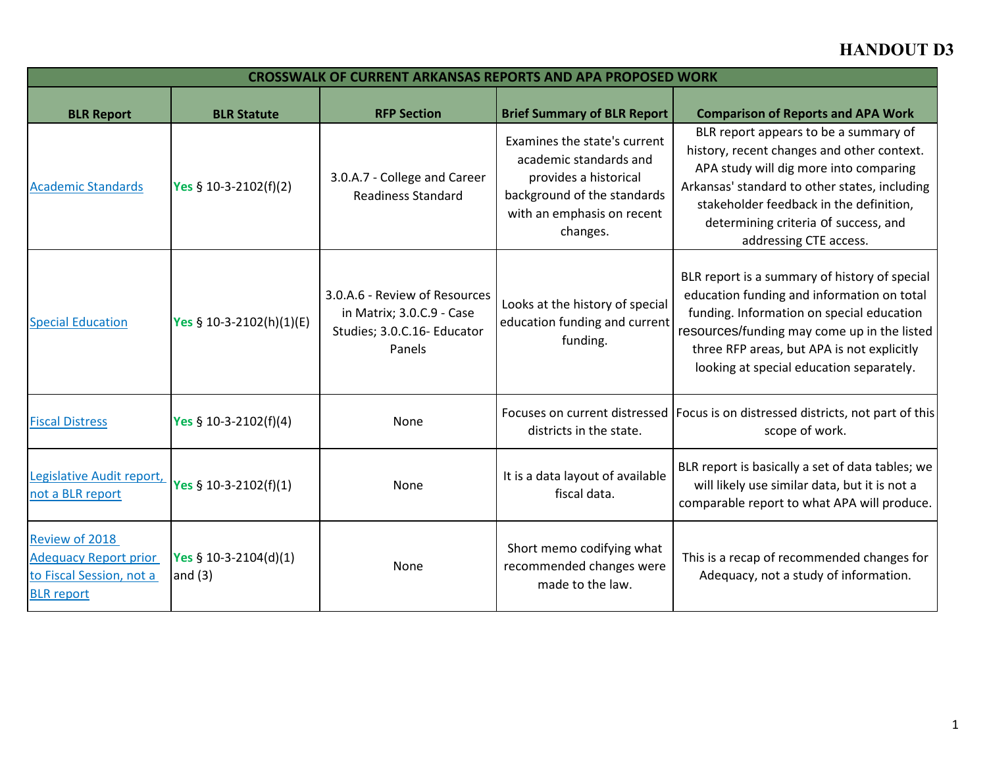## **HANDOUT D3**

| <b>CROSSWALK OF CURRENT ARKANSAS REPORTS AND APA PROPOSED WORK</b>                              |                                     |                                                                                                     |                                                                                                                                                          |                                                                                                                                                                                                                                                                                             |
|-------------------------------------------------------------------------------------------------|-------------------------------------|-----------------------------------------------------------------------------------------------------|----------------------------------------------------------------------------------------------------------------------------------------------------------|---------------------------------------------------------------------------------------------------------------------------------------------------------------------------------------------------------------------------------------------------------------------------------------------|
| <b>BLR Report</b>                                                                               | <b>BLR Statute</b>                  | <b>RFP Section</b>                                                                                  | <b>Brief Summary of BLR Report</b>                                                                                                                       | <b>Comparison of Reports and APA Work</b>                                                                                                                                                                                                                                                   |
| <b>Academic Standards</b>                                                                       | Yes $$10-3-2102(f)(2)$              | 3.0.A.7 - College and Career<br><b>Readiness Standard</b>                                           | Examines the state's current<br>academic standards and<br>provides a historical<br>background of the standards<br>with an emphasis on recent<br>changes. | BLR report appears to be a summary of<br>history, recent changes and other context.<br>APA study will dig more into comparing<br>Arkansas' standard to other states, including<br>stakeholder feedback in the definition,<br>determining criteria of success, and<br>addressing CTE access. |
| <b>Special Education</b>                                                                        | Yes § 10-3-2102(h)(1)(E)            | 3.0.A.6 - Review of Resources<br>in Matrix; 3.0.C.9 - Case<br>Studies; 3.0.C.16- Educator<br>Panels | Looks at the history of special<br>education funding and current<br>funding.                                                                             | BLR report is a summary of history of special<br>education funding and information on total<br>funding. Information on special education<br>resources/funding may come up in the listed<br>three RFP areas, but APA is not explicitly<br>looking at special education separately.           |
| <b>Fiscal Distress</b>                                                                          | Yes § 10-3-2102(f)(4)               | None                                                                                                | districts in the state.                                                                                                                                  | Focuses on current distressed   Focus is on distressed districts, not part of this<br>scope of work.                                                                                                                                                                                        |
| Legislative Audit report,<br>not a BLR report                                                   | Yes § 10-3-2102(f)(1)               | None                                                                                                | It is a data layout of available<br>fiscal data.                                                                                                         | BLR report is basically a set of data tables; we<br>will likely use similar data, but it is not a<br>comparable report to what APA will produce.                                                                                                                                            |
| Review of 2018<br><b>Adequacy Report prior</b><br>to Fiscal Session, not a<br><b>BLR</b> report | Yes $$10-3-2104(d)(1)$<br>and $(3)$ | None                                                                                                | Short memo codifying what<br>recommended changes were<br>made to the law.                                                                                | This is a recap of recommended changes for<br>Adequacy, not a study of information.                                                                                                                                                                                                         |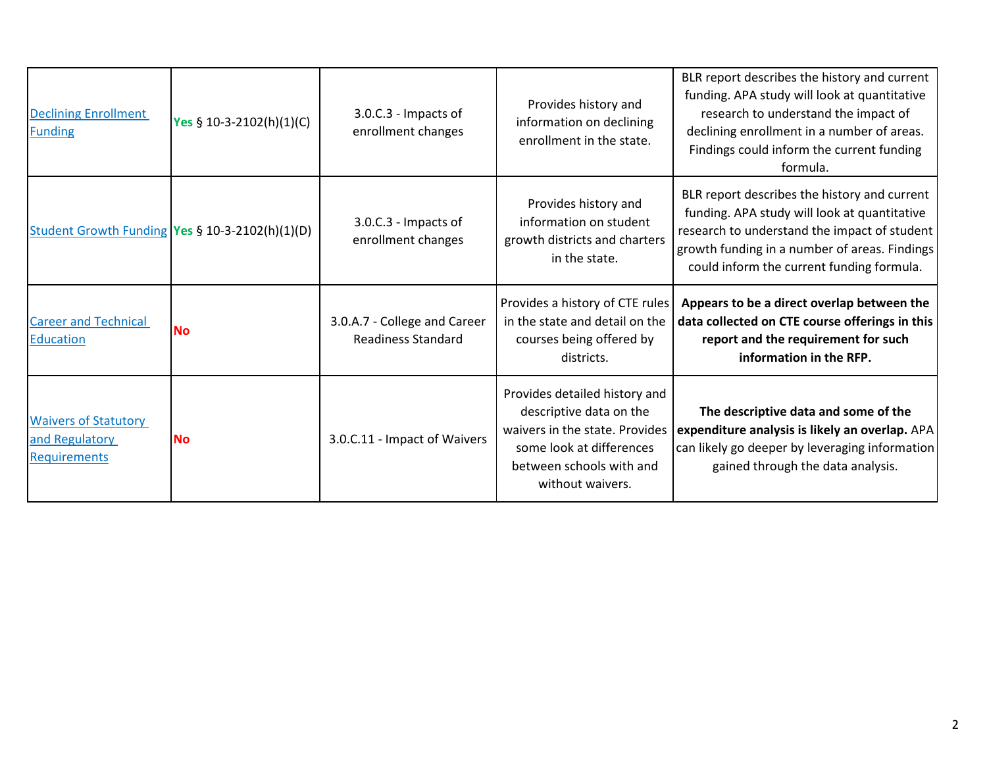| <b>Declining Enrollment</b><br><b>Funding</b>                        | Yes § 10-3-2102(h)(1)(C)                        | 3.0.C.3 - Impacts of<br>enrollment changes                | Provides history and<br>information on declining<br>enrollment in the state.                                                                                           | BLR report describes the history and current<br>funding. APA study will look at quantitative<br>research to understand the impact of<br>declining enrollment in a number of areas.<br>Findings could inform the current funding<br>formula. |
|----------------------------------------------------------------------|-------------------------------------------------|-----------------------------------------------------------|------------------------------------------------------------------------------------------------------------------------------------------------------------------------|---------------------------------------------------------------------------------------------------------------------------------------------------------------------------------------------------------------------------------------------|
|                                                                      | Student Growth Funding Yes § 10-3-2102(h)(1)(D) | 3.0.C.3 - Impacts of<br>enrollment changes                | Provides history and<br>information on student<br>growth districts and charters<br>in the state.                                                                       | BLR report describes the history and current<br>funding. APA study will look at quantitative<br>research to understand the impact of student<br>growth funding in a number of areas. Findings<br>could inform the current funding formula.  |
| <b>Career and Technical</b><br>Education                             | <b>No</b>                                       | 3.0.A.7 - College and Career<br><b>Readiness Standard</b> | Provides a history of CTE rules<br>in the state and detail on the<br>courses being offered by<br>districts.                                                            | Appears to be a direct overlap between the<br>data collected on CTE course offerings in this<br>report and the requirement for such<br>information in the RFP.                                                                              |
| <b>Waivers of Statutory</b><br>and Regulatory<br><b>Requirements</b> | <b>No</b>                                       | 3.0.C.11 - Impact of Waivers                              | Provides detailed history and<br>descriptive data on the<br>waivers in the state. Provides<br>some look at differences<br>between schools with and<br>without waivers. | The descriptive data and some of the<br>expenditure analysis is likely an overlap. APA<br>can likely go deeper by leveraging information<br>gained through the data analysis.                                                               |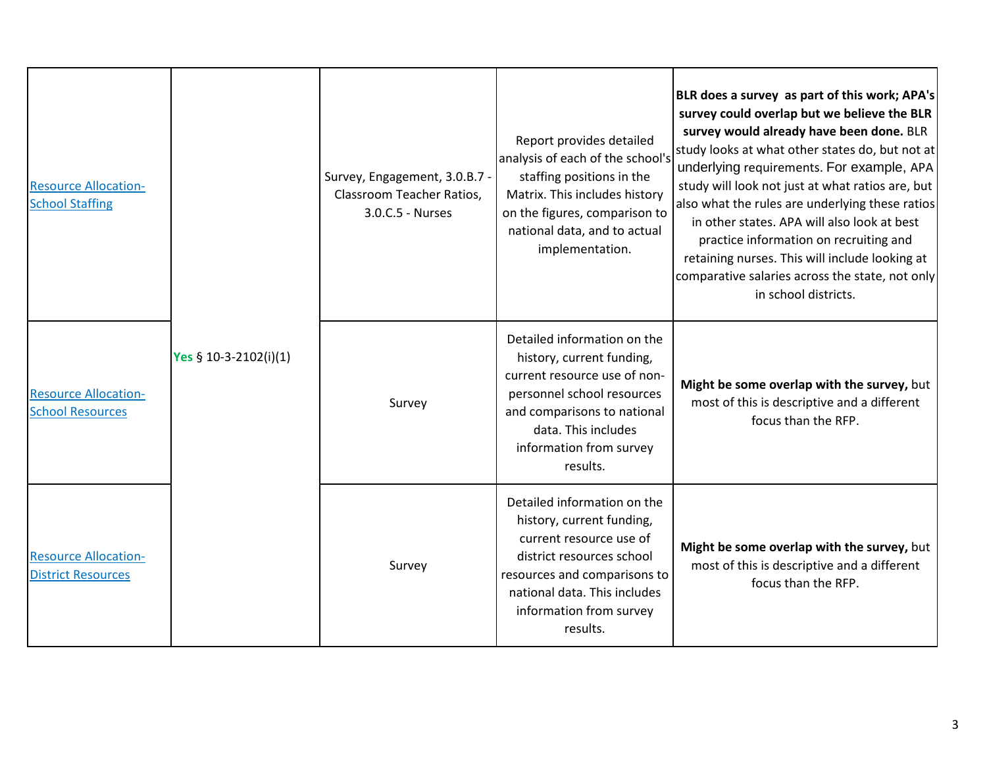| <b>Resource Allocation-</b><br><b>School Staffing</b>    | Yes § 10-3-2102(i)(1) | Survey, Engagement, 3.0.B.7 -<br>Classroom Teacher Ratios,<br>3.0.C.5 - Nurses | Report provides detailed<br>analysis of each of the school's<br>staffing positions in the<br>Matrix. This includes history<br>on the figures, comparison to<br>national data, and to actual<br>implementation.          | BLR does a survey as part of this work; APA's<br>survey could overlap but we believe the BLR<br>survey would already have been done. BLR<br>study looks at what other states do, but not at<br>underlying requirements. For example, APA<br>study will look not just at what ratios are, but<br>also what the rules are underlying these ratios<br>in other states. APA will also look at best<br>practice information on recruiting and<br>retaining nurses. This will include looking at<br>comparative salaries across the state, not only<br>in school districts. |
|----------------------------------------------------------|-----------------------|--------------------------------------------------------------------------------|-------------------------------------------------------------------------------------------------------------------------------------------------------------------------------------------------------------------------|-----------------------------------------------------------------------------------------------------------------------------------------------------------------------------------------------------------------------------------------------------------------------------------------------------------------------------------------------------------------------------------------------------------------------------------------------------------------------------------------------------------------------------------------------------------------------|
| <b>Resource Allocation-</b><br><b>School Resources</b>   |                       | Survey                                                                         | Detailed information on the<br>history, current funding,<br>current resource use of non-<br>personnel school resources<br>and comparisons to national<br>data. This includes<br>information from survey<br>results.     | Might be some overlap with the survey, but<br>most of this is descriptive and a different<br>focus than the RFP.                                                                                                                                                                                                                                                                                                                                                                                                                                                      |
| <b>Resource Allocation-</b><br><b>District Resources</b> |                       | Survey                                                                         | Detailed information on the<br>history, current funding,<br>current resource use of<br>district resources school<br>resources and comparisons to<br>national data. This includes<br>information from survey<br>results. | Might be some overlap with the survey, but<br>most of this is descriptive and a different<br>focus than the RFP.                                                                                                                                                                                                                                                                                                                                                                                                                                                      |